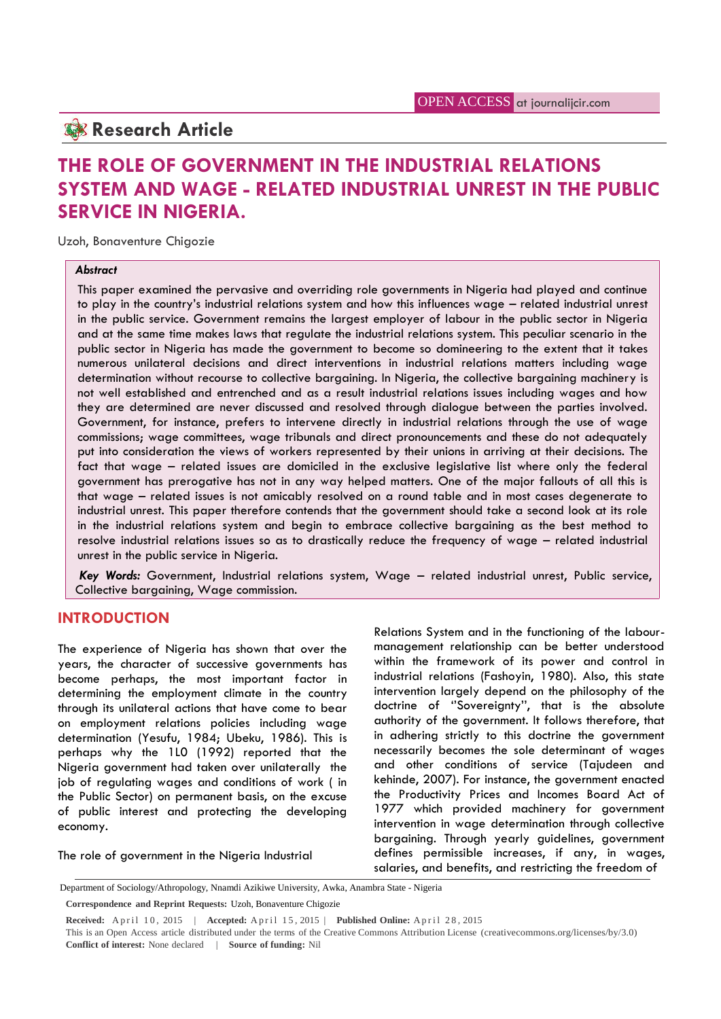# **Research Article**

# **THE ROLE OF GOVERNMENT IN THE INDUSTRIAL RELATIONS SYSTEM AND WAGE - RELATED INDUSTRIAL UNREST IN THE PUBLIC SERVICE IN NIGERIA.**

Uzoh, Bonaventure Chigozie

#### *Abstract*

This paper examined the pervasive and overriding role governments in Nigeria had played and continue to play in the country's industrial relations system and how this influences wage – related industrial unrest in the public service. Government remains the largest employer of labour in the public sector in Nigeria and at the same time makes laws that regulate the industrial relations system. This peculiar scenario in the public sector in Nigeria has made the government to become so domineering to the extent that it takes numerous unilateral decisions and direct interventions in industrial relations matters including wage determination without recourse to collective bargaining. In Nigeria, the collective bargaining machinery is not well established and entrenched and as a result industrial relations issues including wages and how they are determined are never discussed and resolved through dialogue between the parties involved. Government, for instance, prefers to intervene directly in industrial relations through the use of wage commissions; wage committees, wage tribunals and direct pronouncements and these do not adequately put into consideration the views of workers represented by their unions in arriving at their decisions. The fact that wage – related issues are domiciled in the exclusive legislative list where only the federal government has prerogative has not in any way helped matters. One of the major fallouts of all this is that wage – related issues is not amicably resolved on a round table and in most cases degenerate to industrial unrest. This paper therefore contends that the government should take a second look at its role in the industrial relations system and begin to embrace collective bargaining as the best method to resolve industrial relations issues so as to drastically reduce the frequency of wage – related industrial unrest in the public service in Nigeria.

*Key Words:* Government, Industrial relations system, Wage – related industrial unrest, Public service, Collective bargaining, Wage commission.

### **INTRODUCTION**

The experience of Nigeria has shown that over the years, the character of successive governments has become perhaps, the most important factor in determining the employment climate in the country through its unilateral actions that have come to bear on employment relations policies including wage determination (Yesufu, 1984; Ubeku, 1986). This is perhaps why the 1L0 (1992) reported that the Nigeria government had taken over unilaterally the job of regulating wages and conditions of work ( in the Public Sector) on permanent basis, on the excuse of public interest and protecting the developing economy.

Relations System and in the functioning of the labour management relationship can be better understood within the framework of its power and control in industrial relations (Fashoyin, 1980). Also, this state intervention largely depend on the philosophy of the doctrine of ''Sovereignty'', that is the absolute authority of the government. It follows therefore, that in adhering strictly to this doctrine the government necessarily becomes the sole determinant of wages and other conditions of service (Tajudeen and kehinde, 2007). For instance, the government enacted the Productivity Prices and Incomes Board Act of 1977 which provided machinery for government intervention in wage determination through collective bargaining. Through yearly guidelines, government defines permissible increases, if any, in wages, salaries, and benefits, and restricting the freedom of

The role of government in the Nigeria Industrial

Department of Sociology/Athropology, Nnamdi Azikiwe University, Awka, Anambra State - Nigeria

**Correspondence and Reprint Requests:** Uzoh, Bonaventure Chigozie

**Received:** April 10, 2015 | **Accepted:** April 15, 2015 | **Published Online:** April 28, 2015

This is an Open Access article distributed under the terms of the Creative Commons Attribution License (creativecommons.org/licenses/by/3.0) **Conflict of interest:** None declared | **Source of funding:** Nil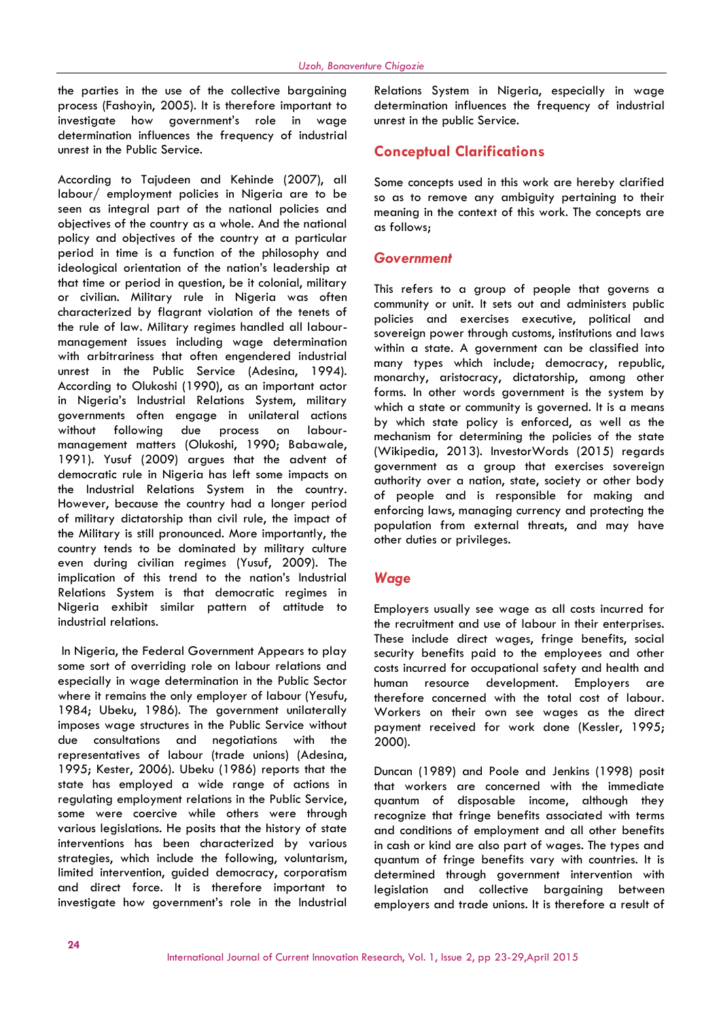the parties in the use of the collective bargaining process (Fashoyin, 2005). It is therefore important to investigate how government's role in wage determination influences the frequency of industrial unrest in the Public Service.

According to Tajudeen and Kehinde (2007), all labour/ employment policies in Nigeria are to be seen as integral part of the national policies and objectives of the country as a whole. And the national policy and objectives of the country at a particular period in time is a function of the philosophy and ideological orientation of the nation's leadership at that time or period in question, be it colonial, military or civilian. Military rule in Nigeria was often characterized by flagrant violation of the tenets of the rule of law. Military regimes handled all labour management issues including wage determination with arbitrariness that often engendered industrial unrest in the Public Service (Adesina, 1994). According to Olukoshi (1990), as an important actor in Nigeria's Industrial Relations System, military governments often engage in unilateral actions without following due process on labour management matters (Olukoshi, 1990; Babawale, 1991). Yusuf (2009) argues that the advent of democratic rule in Nigeria has left some impacts on the Industrial Relations System in the country. However, because the country had a longer period of military dictatorship than civil rule, the impact of the Military is still pronounced. More importantly, the country tends to be dominated by military culture even during civilian regimes (Yusuf, 2009). The implication of this trend to the nation's Industrial Relations System is that democratic regimes in Nigeria exhibit similar pattern of attitude to industrial relations.

In Nigeria, the Federal Government Appears to play some sort of overriding role on labour relations and especially in wage determination in the Public Sector where it remains the only employer of labour (Yesufu, 1984; Ubeku, 1986). The government unilaterally imposes wage structures in the Public Service without due consultations and negotiations with the representatives of labour (trade unions) (Adesina, 1995; Kester, 2006). Ubeku (1986) reports that the state has employed a wide range of actions in regulating employment relations in the Public Service, some were coercive while others were through various legislations. He posits that the history of state interventions has been characterized by various strategies, which include the following, voluntarism, limited intervention, guided democracy, corporatism and direct force. It is therefore important to investigate how government's role in the Industrial

Relations System in Nigeria, especially in wage determination influences the frequency of industrial unrest in the public Service.

# **Conceptual Clarifications**

Some concepts used in this work are hereby clarified so as to remove any ambiguity pertaining to their meaning in the context of this work. The concepts are as follows;

### *Government*

This refers to a group of people that governs a community or unit. It sets out and administers public policies and exercises executive, political and sovereign power through customs, institutions and laws within a state. A government can be classified into many types which include; democracy, republic, monarchy, aristocracy, dictatorship, among other forms. In other words government is the system by which a state or community is governed. It is a means by which state policy is enforced, as well as the mechanism for determining the policies of the state (Wikipedia, 2013). InvestorWords (2015) regards government as a group that exercises sovereign authority over a nation, state, society or other body of people and is responsible for making and enforcing laws, managing currency and protecting the population from external threats, and may have other duties or privileges.

# *Wage*

Employers usually see wage as all costs incurred for the recruitment and use of labour in their enterprises. These include direct wages, fringe benefits, social security benefits paid to the employees and other costs incurred for occupational safety and health and development. Employers are therefore concerned with the total cost of labour. Workers on their own see wages as the direct payment received for work done (Kessler, 1995; 2000).

Duncan (1989) and Poole and Jenkins (1998) posit that workers are concerned with the immediate quantum of disposable income, although they recognize that fringe benefits associated with terms and conditions of employment and all other benefits in cash or kind are also part of wages. The types and quantum of fringe benefits vary with countries. It is determined through government intervention with legislation and collective bargaining between employers and trade unions. It is therefore a result of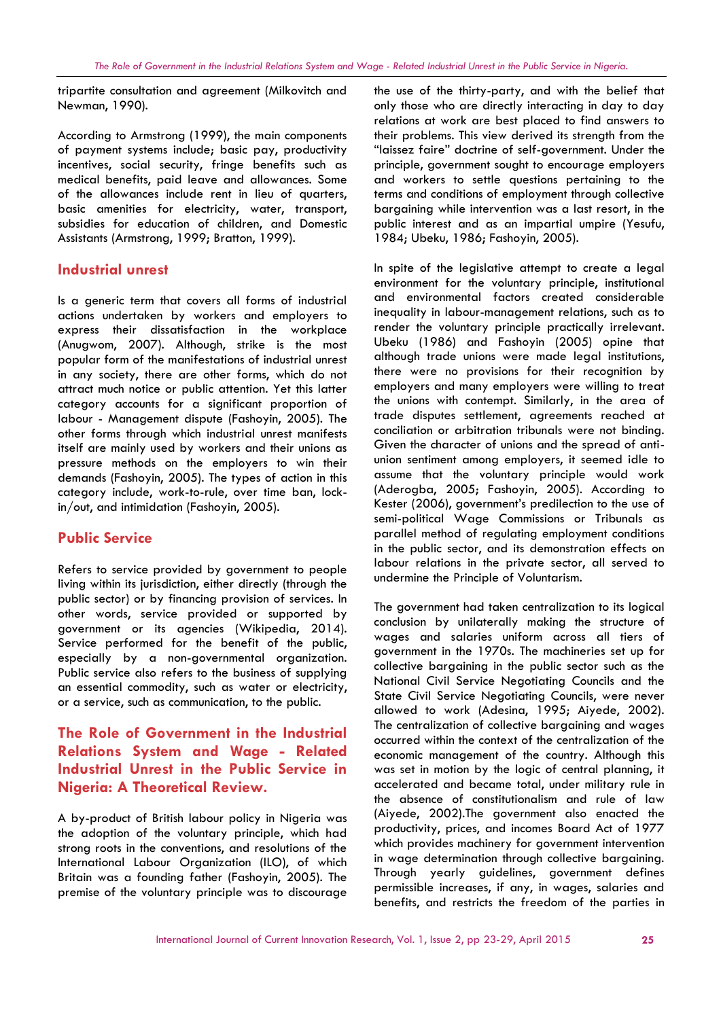tripartite consultation and agreement (Milkovitch and Newman, 1990).

According to Armstrong (1999), the main components of payment systems include; basic pay, productivity incentives, social security, fringe benefits such as medical benefits, paid leave and allowances. Some of the allowances include rent in lieu of quarters, basic amenities for electricity, water, transport, subsidies for education of children, and Domestic Assistants (Armstrong, 1999; Bratton, 1999).

### **Industrial unrest**

Is a generic term that covers all forms of industrial actions undertaken by workers and employers to express their dissatisfaction in the workplace (Anugwom, 2007). Although, strike is the most popular form of the manifestations of industrial unrest in any society, there are other forms, which do not attract much notice or public attention. Yet this latter category accounts for a significant proportion of labour - Management dispute (Fashoyin, 2005). The other forms through which industrial unrest manifests itself are mainly used by workers and their unions as pressure methods on the employers to win their demands (Fashoyin, 2005). The types of action in this category include, work-to-rule, over time ban, lockin/out, and intimidation (Fashoyin, 2005).

# **Public Service**

Refers to service provided by government to people living within its jurisdiction, either directly (through the public sector) or by financing provision of services. In other words, service provided or supported by government or its agencies (Wikipedia, 2014). Service performed for the benefit of the public, especially by a non-governmental organization. Public service also refers to the business of supplying an essential commodity, such as water or electricity, or a service, such as communication, to the public.

# **The Role of Government in the Industrial Relations System and Wage - Related Industrial Unrest in the Public Service in Nigeria: A Theoretical Review.**

A by-product of British labour policy in Nigeria was the adoption of the voluntary principle, which had strong roots in the conventions, and resolutions of the International Labour Organization (ILO), of which Britain was a founding father (Fashoyin, 2005). The premise of the voluntary principle was to discourage the use of the thirty-party, and with the belief that only those who are directly interacting in day to day relations at work are best placed to find answers to their problems. This view derived its strength from the "laissez faire" doctrine of self-government. Under the principle, government sought to encourage employers and workers to settle questions pertaining to the terms and conditions of employment through collective bargaining while intervention was a last resort, in the public interest and as an impartial umpire (Yesufu, 1984; Ubeku, 1986; Fashoyin, 2005).

In spite of the legislative attempt to create a legal environment for the voluntary principle, institutional and environmental factors created considerable inequality in labour-management relations, such as to render the voluntary principle practically irrelevant. Ubeku (1986) and Fashoyin (2005) opine that although trade unions were made legal institutions, there were no provisions for their recognition by employers and many employers were willing to treat the unions with contempt. Similarly, in the area of trade disputes settlement, agreements reached at conciliation or arbitration tribunals were not binding. Given the character of unions and the spread of anti union sentiment among employers, it seemed idle to assume that the voluntary principle would work (Aderogba, 2005; Fashoyin, 2005). According to Kester (2006), government's predilection to the use of semi-political Wage Commissions or Tribunals as parallel method of regulating employment conditions in the public sector, and its demonstration effects on labour relations in the private sector, all served to undermine the Principle of Voluntarism.

The government had taken centralization to its logical conclusion by unilaterally making the structure of wages and salaries uniform across all tiers of government in the 1970s. The machineries set up for collective bargaining in the public sector such as the National Civil Service Negotiating Councils and the State Civil Service Negotiating Councils, were never allowed to work (Adesina, 1995; Aiyede, 2002). The centralization of collective bargaining and wages occurred within the context of the centralization of the economic management of the country. Although this was set in motion by the logic of central planning, it accelerated and became total, under military rule in the absence of constitutionalism and rule of law (Aiyede, 2002).The government also enacted the productivity, prices, and incomes Board Act of 1977 which provides machinery for government intervention in wage determination through collective bargaining. Through yearly guidelines, government defines permissible increases, if any, in wages, salaries and benefits, and restricts the freedom of the parties in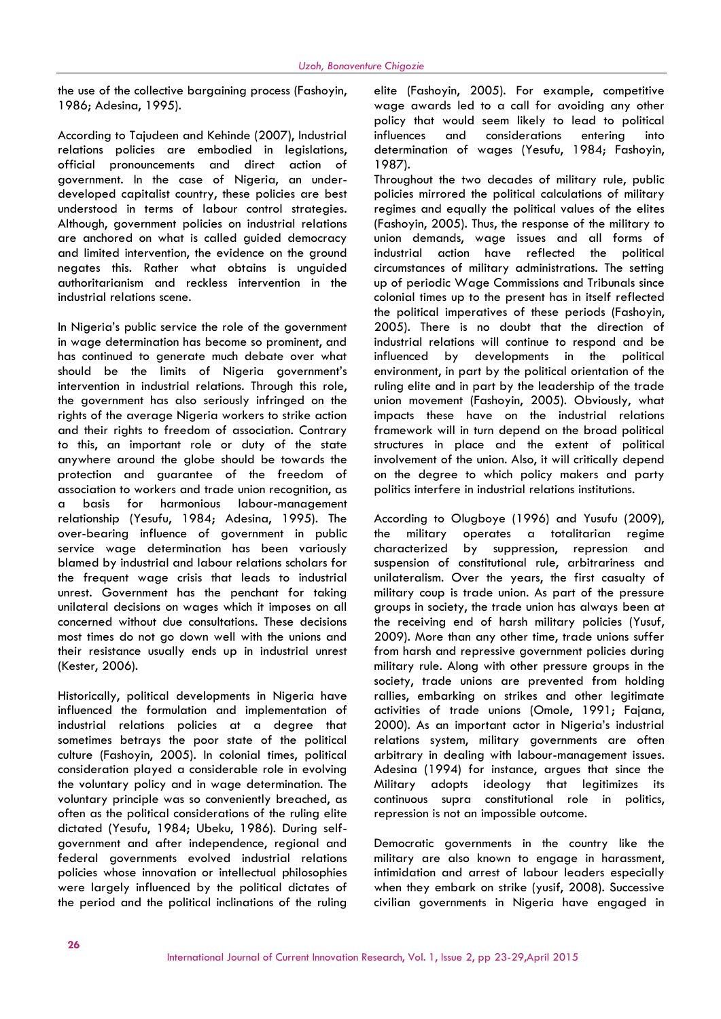the use of the collective bargaining process (Fashoyin, 1986; Adesina, 1995).

According to Tajudeen and Kehinde (2007), Industrial relations policies are embodied in legislations, official pronouncements and direct action of government. In the case of Nigeria, an under developed capitalist country, these policies are best understood in terms of labour control strategies. Although, government policies on industrial relations are anchored on what is called guided democracy and limited intervention, the evidence on the ground negates this. Rather what obtains is unguided authoritarianism and reckless intervention in the industrial relations scene.

In Nigeria's public service the role of the government in wage determination has become so prominent, and has continued to generate much debate over what should be the limits of Nigeria government's intervention in industrial relations. Through this role, the government has also seriously infringed on the rights of the average Nigeria workers to strike action and their rights to freedom of association. Contrary to this, an important role or duty of the state anywhere around the globe should be towards the protection and guarantee of the freedom of association to workers and trade union recognition, as a basis for harmonious labour-management relationship (Yesufu, 1984; Adesina, 1995). The over-bearing influence of government in public service wage determination has been variously blamed by industrial and labour relations scholars for the frequent wage crisis that leads to industrial unrest. Government has the penchant for taking unilateral decisions on wages which it imposes on all concerned without due consultations. These decisions most times do not go down well with the unions and their resistance usually ends up in industrial unrest (Kester, 2006).

Historically, political developments in Nigeria have influenced the formulation and implementation of industrial relations policies at a degree that sometimes betrays the poor state of the political culture (Fashoyin, 2005). In colonial times, political consideration played a considerable role in evolving the voluntary policy and in wage determination. The voluntary principle was so conveniently breached, as often as the political considerations of the ruling elite dictated (Yesufu, 1984; Ubeku, 1986). During self government and after independence, regional and federal governments evolved industrial relations policies whose innovation or intellectual philosophies were largely influenced by the political dictates of the period and the political inclinations of the ruling

elite (Fashoyin, 2005). For example, competitive wage awards led to a call for avoiding any other policy that would seem likely to lead to political influences and considerations entering into determination of wages (Yesufu, 1984; Fashoyin, 1987).

Throughout the two decades of military rule, public policies mirrored the political calculations of military regimes and equally the political values of the elites (Fashoyin, 2005). Thus, the response of the military to union demands, wage issues and all forms of industrial action have reflected the political circumstances of military administrations. The setting up of periodic Wage Commissions and Tribunals since colonial times up to the present has in itself reflected the political imperatives of these periods (Fashoyin, 2005). There is no doubt that the direction of industrial relations will continue to respond and be developments in the political environment, in part by the political orientation of the ruling elite and in part by the leadership of the trade union movement (Fashoyin, 2005). Obviously, what impacts these have on the industrial relations framework will in turn depend on the broad political structures in place and the extent of political involvement of the union. Also, it will critically depend on the degree to which policy makers and party politics interfere in industrial relations institutions.

According to Olugboye (1996) and Yusufu (2009), military operates a totalitarian regime characterized by suppression, repression and suspension of constitutional rule, arbitrariness and unilateralism. Over the years, the first casualty of military coup is trade union. As part of the pressure groups in society, the trade union has always been at the receiving end of harsh military policies (Yusuf, 2009). More than any other time, trade unions suffer from harsh and repressive government policies during military rule. Along with other pressure groups in the society, trade unions are prevented from holding rallies, embarking on strikes and other legitimate activities of trade unions (Omole, 1991; Fajana, 2000). As an important actor in Nigeria's industrial relations system, military governments are often arbitrary in dealing with labour-management issues. Adesina (1994) for instance, argues that since the Military adopts ideology that legitimizes its continuous supra constitutional role in politics, repression is not an impossible outcome.

Democratic governments in the country like the military are also known to engage in harassment, intimidation and arrest of labour leaders especially when they embark on strike (yusif, 2008). Successive civilian governments in Nigeria have engaged in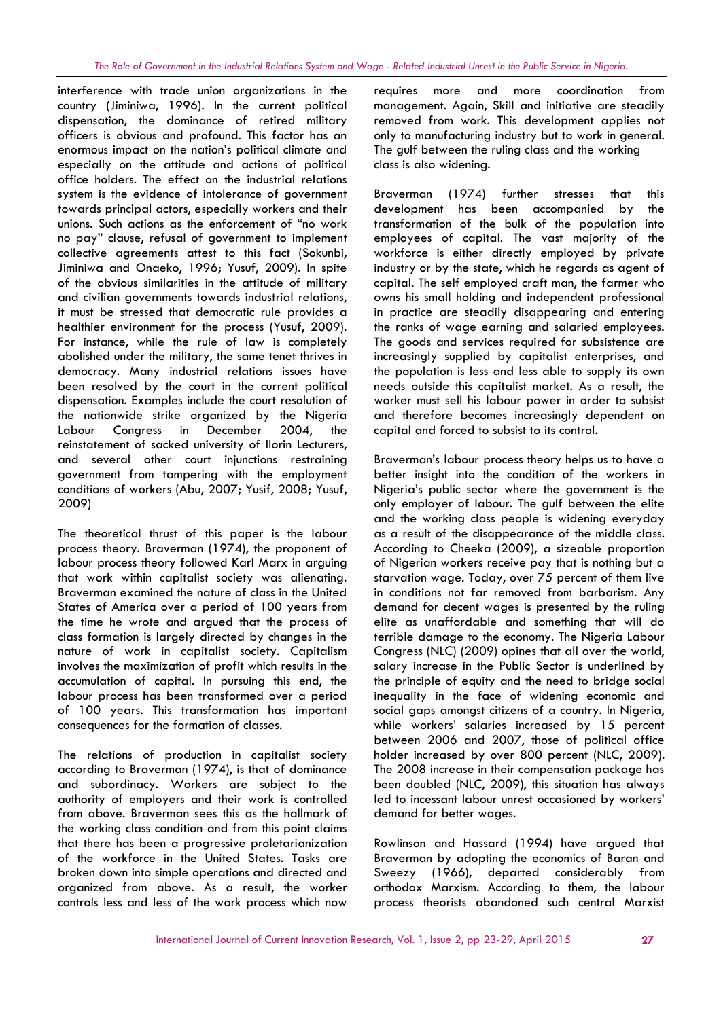interference with trade union organizations in the country (Jiminiwa, 1996). In the current political dispensation, the dominance of retired military officers is obvious and profound. This factor has an enormous impact on the nation's political climate and especially on the attitude and actions of political office holders. The effect on the industrial relations system is the evidence of intolerance of government towards principal actors, especially workers and their unions. Such actions as the enforcement of "no work no pay" clause, refusal of government to implement collective agreements attest to this fact (Sokunbi, Jiminiwa and Onaeko, 1996; Yusuf, 2009). In spite of the obvious similarities in the attitude of military and civilian governments towards industrial relations, it must be stressed that democratic rule provides a healthier environment for the process (Yusuf, 2009). For instance, while the rule of law is completely abolished under the military, the same tenet thrives in democracy. Many industrial relations issues have been resolved by the court in the current political dispensation. Examples include the court resolution of the nationwide strike organized by the Nigeria Labour Congress in December 2004, the reinstatement of sacked university of Ilorin Lecturers, and several other court injunctions restraining government from tampering with the employment conditions of workers (Abu, 2007; Yusif, 2008; Yusuf, 2009)

The theoretical thrust of this paper is the labour process theory. Braverman (1974), the proponent of labour process theory followed Karl Marx in arguing that work within capitalist society was alienating. Braverman examined the nature of class in the United States of America over a period of 100 years from the time he wrote and argued that the process of class formation is largely directed by changes in the nature of work in capitalist society. Capitalism involves the maximization of profit which results in the accumulation of capital. In pursuing this end, the labour process has been transformed over a period of 100 years. This transformation has important consequences for the formation of classes.

The relations of production in capitalist society according to Braverman (1974), is that of dominance and subordinacy. Workers are subject to the authority of employers and their work is controlled from above. Braverman sees this as the hallmark of the working class condition and from this point claims that there has been a progressive proletarianization of the workforce in the United States. Tasks are broken down into simple operations and directed and organized from above. As a result, the worker controls less and less of the work process which now

more and more coordination from management. Again, Skill and initiative are steadily removed from work. This development applies not only to manufacturing industry but to work in general. The gulf between the ruling class and the working class is also widening.

Braverman (1974) further stresses that this development has been accompanied by the transformation of the bulk of the population into employees of capital. The vast majority of the workforce is either directly employed by private industry or by the state, which he regards as agent of capital. The self employed craft man, the farmer who owns his small holding and independent professional in practice are steadily disappearing and entering the ranks of wage earning and salaried employees. The goods and services required for subsistence are increasingly supplied by capitalist enterprises, and the population is less and less able to supply its own needs outside this capitalist market. As a result, the worker must sell his labour power in order to subsist and therefore becomes increasingly dependent on capital and forced to subsist to its control.

Braverman's labour process theory helps us to have a better insight into the condition of the workers in Nigeria's public sector where the government is the only employer of labour. The gulf between the elite and the working class people is widening everyday as a result of the disappearance of the middle class. According to Cheeka (2009), a sizeable proportion of Nigerian workers receive pay that is nothing but a starvation wage. Today, over 75 percent of them live in conditions not far removed from barbarism. Any demand for decent wages is presented by the ruling elite as unaffordable and something that will do terrible damage to the economy. The Nigeria Labour Congress (NLC) (2009) opines that all over the world, salary increase in the Public Sector is underlined by the principle of equity and the need to bridge social inequality in the face of widening economic and social gaps amongst citizens of a country. In Nigeria, while workers' salaries increased by 15 percent between 2006 and 2007, those of political office holder increased by over 800 percent (NLC, 2009). The 2008 increase in their compensation package has been doubled (NLC, 2009), this situation has always led to incessant labour unrest occasioned by workers' demand for better wages.

Rowlinson and Hassard (1994) have argued that Braverman by adopting the economics of Baran and Sweezy (1966), departed considerably from orthodox Marxism. According to them, the labour process theorists abandoned such central Marxist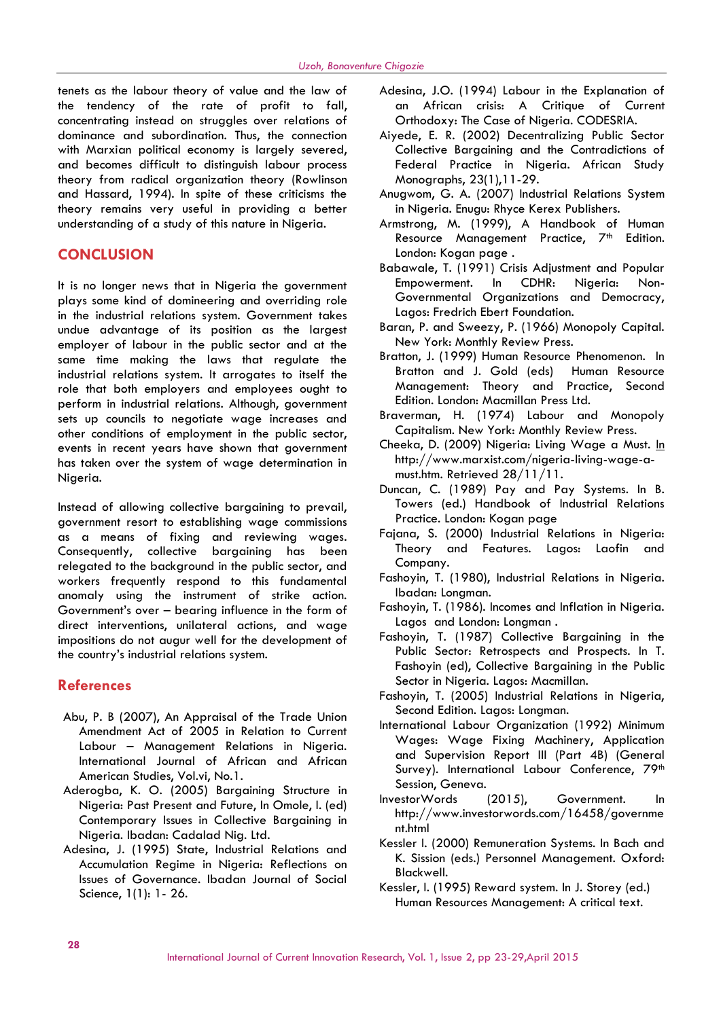tenets as the labour theory of value and the law of the tendency of the rate of profit to fall, concentrating instead on struggles over relations of dominance and subordination. Thus, the connection with Marxian political economy is largely severed, and becomes difficult to distinguish labour process theory from radical organization theory (Rowlinson and Hassard, 1994). In spite of these criticisms the theory remains very useful in providing a better understanding of a study of this nature in Nigeria.

### **CONCLUSION**

It is no longer news that in Nigeria the government plays some kind of domineering and overriding role in the industrial relations system. Government takes undue advantage of its position as the largest employer of labour in the public sector and at the same time making the laws that regulate the industrial relations system. It arrogates to itself the role that both employers and employees ought to perform in industrial relations. Although, government sets up councils to negotiate wage increases and other conditions of employment in the public sector, events in recent years have shown that government has taken over the system of wage determination in Nigeria.

Instead of allowing collective bargaining to prevail, government resort to establishing wage commissions as a means of fixing and reviewing wages. Consequently, collective bargaining has been relegated to the background in the public sector, and workers frequently respond to this fundamental anomaly using the instrument of strike action. Government's over – bearing influence in the form of direct interventions, unilateral actions, and wage impositions do not augur well for the development of the country's industrial relations system.

### **References**

- Abu, P. B (2007), An Appraisal of the Trade Union Amendment Act of 2005 in Relation to Current Labour – Management Relations in Nigeria. International Journal of African and African American Studies, Vol.vi, No.1.
- Aderogba, K. O. (2005) Bargaining Structure in Nigeria: Past Present and Future, In Omole, I. (ed) Contemporary Issues in Collective Bargaining in Nigeria. Ibadan: Cadalad Nig. Ltd.
- Adesina, J. (1995) State, Industrial Relations and Accumulation Regime in Nigeria: Reflections on Issues of Governance. Ibadan Journal of Social Science, 1(1): 1- 26.
- Adesina, J.O. (1994) Labour in the Explanation of an African crisis: A Critique of Current Orthodoxy: The Case of Nigeria. CODESRIA.
- Aiyede, E. R. (2002) Decentralizing Public Sector Collective Bargaining and the Contradictions of Federal Practice in Nigeria. African Study Monographs, 23(1),11-29.
- Anugwom, G. A. (2007) Industrial Relations System in Nigeria. Enugu: Rhyce Kerex Publishers.
- Armstrong, M. (1999), A Handbook of Human Resource Management Practice, 7<sup>th</sup> Edition. London: Kogan page .
- Babawale, T. (1991) Crisis Adjustment and Popular Empowerment. In CDHR: Nigeria: Non- Governmental Organizations and Democracy, Lagos: Fredrich Ebert Foundation.
- Baran, P. and Sweezy, P. (1966) Monopoly Capital. New York: Monthly Review Press.
- Bratton, J. (1999) Human Resource Phenomenon. In Bratton and J. Gold (eds) Human Resource Management: Theory and Practice, Second Edition. London: Macmillan Press Ltd.
- Braverman, H. (1974) Labour and Monopoly Capitalism. New York: Monthly Review Press.
- Cheeka, D. (2009) Nigeria: Living Wage a Must. In http://www.marxist.com/nigeria-living-wage-a must.htm. Retrieved 28/11/11.
- Duncan, C. (1989) Pay and Pay Systems. In B. Towers (ed.) Handbook of Industrial Relations Practice. London: Kogan page
- Fajana, S. (2000) Industrial Relations in Nigeria: Theory and Features. Lagos: Laofin and Company.
- Fashoyin, T. (1980), Industrial Relations in Nigeria. Ibadan: Longman.
- Fashoyin, T. (1986). Incomes and Inflation in Nigeria. Lagos and London: Longman .
- Fashoyin, T. (1987) Collective Bargaining in the Public Sector: Retrospects and Prospects. In T. Fashoyin (ed), Collective Bargaining in the Public Sector in Nigeria. Lagos: Macmillan.
- Fashoyin, T. (2005) Industrial Relations in Nigeria, Second Edition. Lagos: Longman.
- International Labour Organization (1992) Minimum Wages: Wage Fixing Machinery, Application and Supervision Report III (Part 4B) (General Survey). International Labour Conference, 79<sup>th</sup> Session, Geneva.
- InvestorWords (2015), Government. In http://www.investorwords.com/16458/governme nt.html
- Kessler I. (2000) Remuneration Systems. In Bach and K. Sission (eds.) Personnel Management. Oxford: Blackwell.
- Kessler, I. (1995) Reward system. In J. Storey (ed.) Human Resources Management: A critical text.